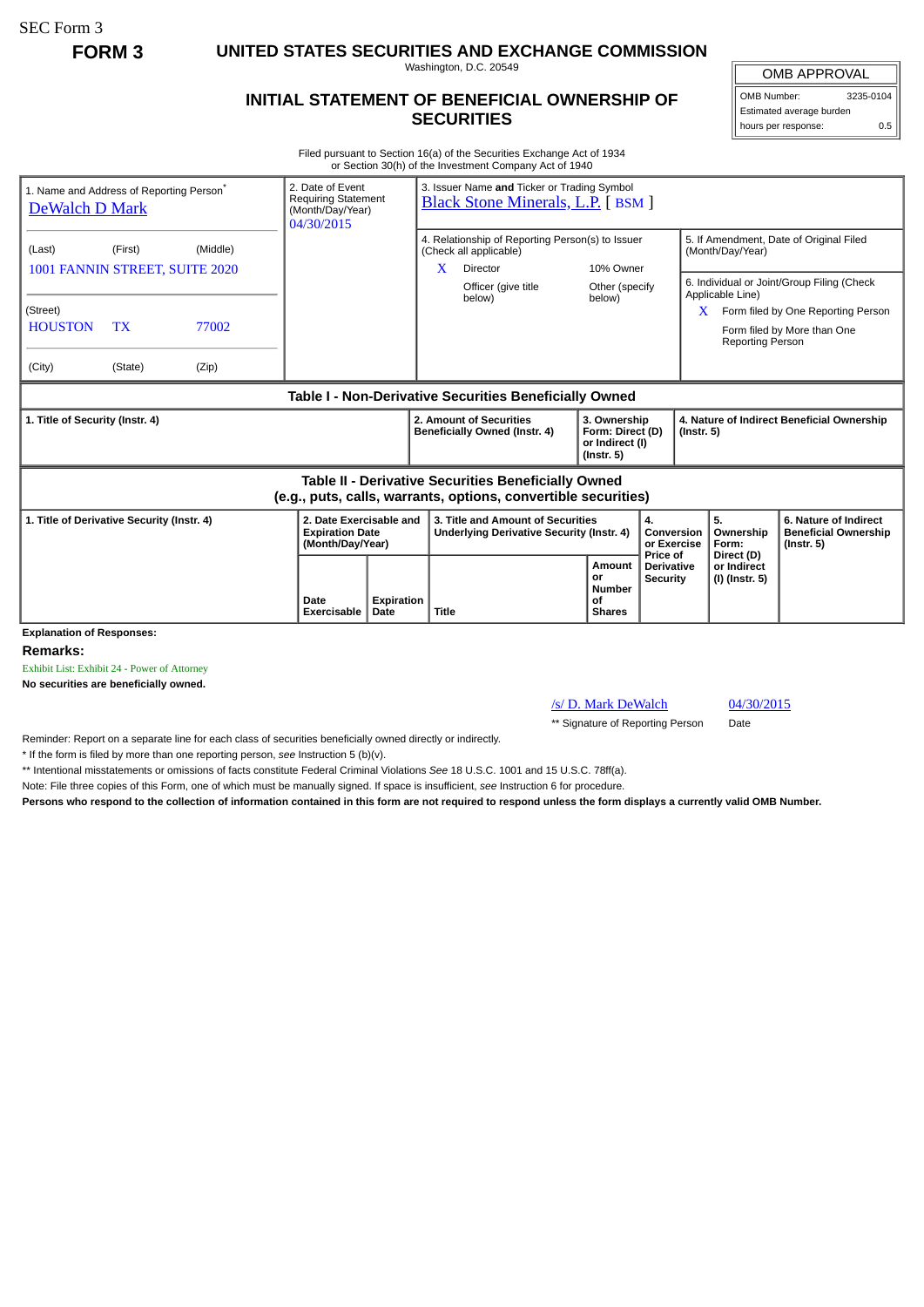SEC Form 3

**FORM 3 UNITED STATES SECURITIES AND EXCHANGE COMMISSION**

Washington, D.C. 20549

## **INITIAL STATEMENT OF BENEFICIAL OWNERSHIP OF SECURITIES**

OMB APPROVAL OMB Number: 3235-0104

Estimated average burden hours per response: 0.5

Filed pursuant to Section 16(a) of the Securities Exchange Act of 1934 or Section 30(h) of the Investment Company Act of 1940

| 1. Name and Address of Reporting Person <sup>®</sup><br>DeWalch D Mark                                                       |                   | 2. Date of Event<br><b>Requiring Statement</b><br>(Month/Day/Year)<br>04/30/2015 |                   | 3. Issuer Name and Ticker or Trading Symbol<br><b>Black Stone Minerals, L.P.</b> [BSM ] |                                                                                                                         |  |                                                                         |                                           |                                                                |                                                                                                                                                                                                                                    |                                                                          |
|------------------------------------------------------------------------------------------------------------------------------|-------------------|----------------------------------------------------------------------------------|-------------------|-----------------------------------------------------------------------------------------|-------------------------------------------------------------------------------------------------------------------------|--|-------------------------------------------------------------------------|-------------------------------------------|----------------------------------------------------------------|------------------------------------------------------------------------------------------------------------------------------------------------------------------------------------------------------------------------------------|--------------------------------------------------------------------------|
| (First)<br>(Last)<br>1001 FANNIN STREET, SUITE 2020<br>(Street)<br><b>HOUSTON</b><br><b>TX</b><br>(City)<br>(State)<br>(Zip) | (Middle)<br>77002 |                                                                                  |                   | X                                                                                       | 4. Relationship of Reporting Person(s) to Issuer<br>(Check all applicable)<br>Director<br>Officer (give title<br>below) |  | 10% Owner<br>Other (specify<br>below)                                   |                                           |                                                                | 5. If Amendment, Date of Original Filed<br>(Month/Day/Year)<br>6. Individual or Joint/Group Filing (Check<br>Applicable Line)<br>Form filed by One Reporting Person<br>X<br>Form filed by More than One<br><b>Reporting Person</b> |                                                                          |
|                                                                                                                              |                   |                                                                                  |                   |                                                                                         | Table I - Non-Derivative Securities Beneficially Owned                                                                  |  |                                                                         |                                           |                                                                |                                                                                                                                                                                                                                    |                                                                          |
| 1. Title of Security (Instr. 4)                                                                                              |                   |                                                                                  |                   | 2. Amount of Securities<br>Beneficially Owned (Instr. 4)                                |                                                                                                                         |  | 3. Ownership<br>Form: Direct (D)<br>or Indirect (I)<br>$($ lnstr. 5 $)$ |                                           | 4. Nature of Indirect Beneficial Ownership<br>$($ Instr. 5 $)$ |                                                                                                                                                                                                                                    |                                                                          |
| <b>Table II - Derivative Securities Beneficially Owned</b><br>(e.g., puts, calls, warrants, options, convertible securities) |                   |                                                                                  |                   |                                                                                         |                                                                                                                         |  |                                                                         |                                           |                                                                |                                                                                                                                                                                                                                    |                                                                          |
| 1. Title of Derivative Security (Instr. 4)                                                                                   |                   | 2. Date Exercisable and<br><b>Expiration Date</b><br>(Month/Day/Year)            |                   | 3. Title and Amount of Securities<br>Underlying Derivative Security (Instr. 4)          |                                                                                                                         |  | 4.                                                                      |                                           | Conversion<br>or Exercise                                      | 5.<br>Ownership<br>Form:                                                                                                                                                                                                           | 6. Nature of Indirect<br><b>Beneficial Ownership</b><br>$($ lnstr. 5 $)$ |
| <b>Explanation of Responses:</b>                                                                                             | Date              | Exercisable<br>Date                                                              | <b>Expiration</b> | Title                                                                                   |                                                                                                                         |  | <b>Amount</b><br>or<br>Number<br>οf<br><b>Shares</b>                    | Price of<br>Derivative<br><b>Security</b> |                                                                | Direct (D)<br>or Indirect<br>(I) (Instr. 5)                                                                                                                                                                                        |                                                                          |

**Remarks:**

Exhibit List: Exhibit 24 - Power of Attorney

**No securities are beneficially owned.**

/s/ D. Mark DeWalch 04/30/2015

\*\* Signature of Reporting Person Date

Reminder: Report on a separate line for each class of securities beneficially owned directly or indirectly.

\* If the form is filed by more than one reporting person, *see* Instruction 5 (b)(v).

\*\* Intentional misstatements or omissions of facts constitute Federal Criminal Violations *See* 18 U.S.C. 1001 and 15 U.S.C. 78ff(a).

Note: File three copies of this Form, one of which must be manually signed. If space is insufficient, *see* Instruction 6 for procedure.

**Persons who respond to the collection of information contained in this form are not required to respond unless the form displays a currently valid OMB Number.**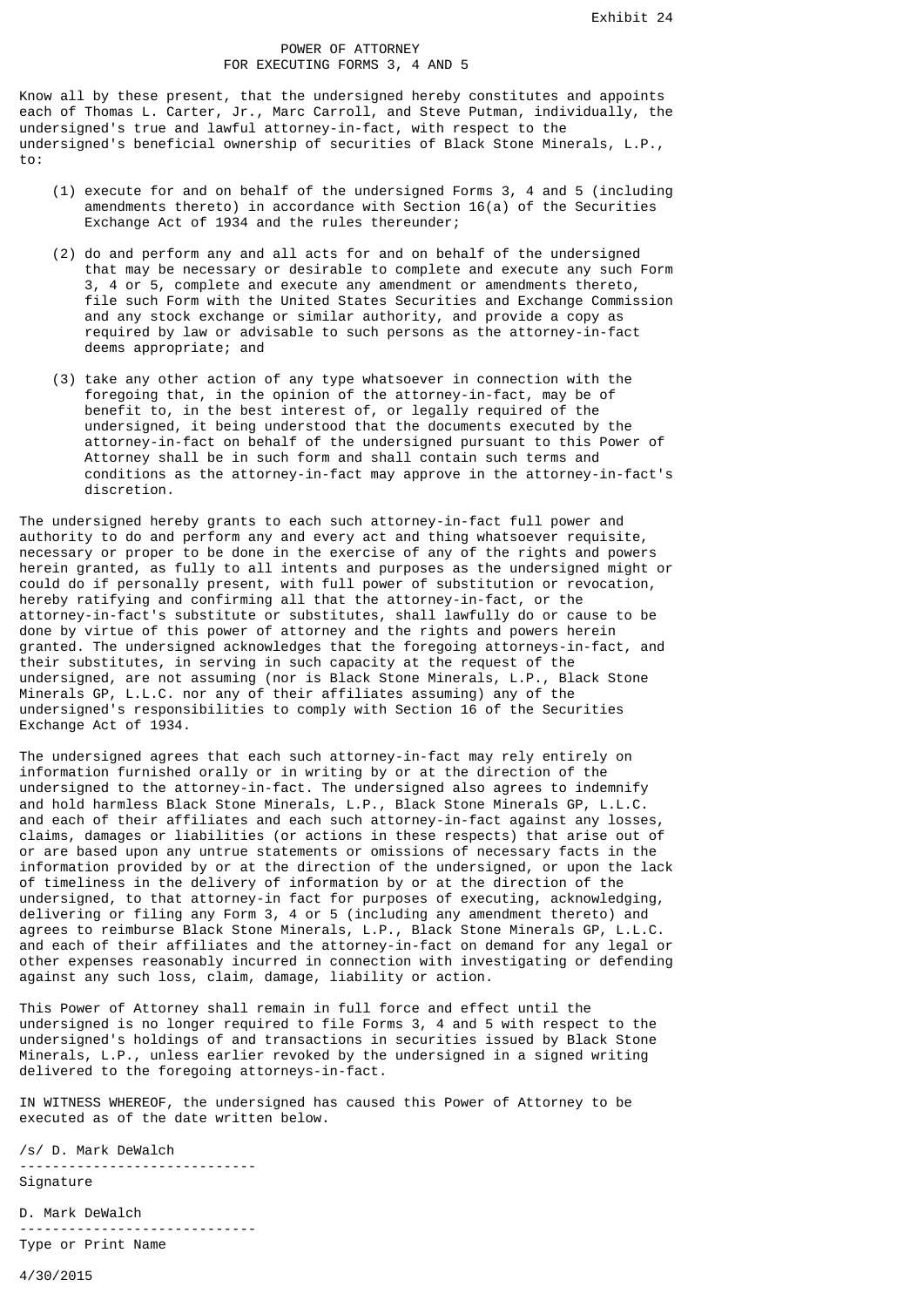## POWER OF ATTORNEY FOR EXECUTING FORMS 3, 4 AND 5

Know all by these present, that the undersigned hereby constitutes and appoints each of Thomas L. Carter, Jr., Marc Carroll, and Steve Putman, individually, the undersigned's true and lawful attorney-in-fact, with respect to the undersigned's beneficial ownership of securities of Black Stone Minerals, L.P., to:

- (1) execute for and on behalf of the undersigned Forms 3, 4 and 5 (including amendments thereto) in accordance with Section  $16(a)$  of the Securities Exchange Act of 1934 and the rules thereunder;
- (2) do and perform any and all acts for and on behalf of the undersigned that may be necessary or desirable to complete and execute any such Form 3, 4 or 5, complete and execute any amendment or amendments thereto, file such Form with the United States Securities and Exchange Commission and any stock exchange or similar authority, and provide a copy as required by law or advisable to such persons as the attorney-in-fact deems appropriate; and
- (3) take any other action of any type whatsoever in connection with the foregoing that, in the opinion of the attorney-in-fact, may be of benefit to, in the best interest of, or legally required of the undersigned, it being understood that the documents executed by the attorney-in-fact on behalf of the undersigned pursuant to this Power of Attorney shall be in such form and shall contain such terms and conditions as the attorney-in-fact may approve in the attorney-in-fact's discretion.

The undersigned hereby grants to each such attorney-in-fact full power and authority to do and perform any and every act and thing whatsoever requisite, necessary or proper to be done in the exercise of any of the rights and powers herein granted, as fully to all intents and purposes as the undersigned might or could do if personally present, with full power of substitution or revocation, hereby ratifying and confirming all that the attorney-in-fact, or the attorney-in-fact's substitute or substitutes, shall lawfully do or cause to be done by virtue of this power of attorney and the rights and powers herein granted. The undersigned acknowledges that the foregoing attorneys-in-fact, and their substitutes, in serving in such capacity at the request of the undersigned, are not assuming (nor is Black Stone Minerals, L.P., Black Stone Minerals GP, L.L.C. nor any of their affiliates assuming) any of the undersigned's responsibilities to comply with Section 16 of the Securities Exchange Act of 1934.

The undersigned agrees that each such attorney-in-fact may rely entirely on information furnished orally or in writing by or at the direction of the undersigned to the attorney-in-fact. The undersigned also agrees to indemnify and hold harmless Black Stone Minerals, L.P., Black Stone Minerals GP, L.L.C. and each of their affiliates and each such attorney-in-fact against any losses, claims, damages or liabilities (or actions in these respects) that arise out of or are based upon any untrue statements or omissions of necessary facts in the information provided by or at the direction of the undersigned, or upon the lack of timeliness in the delivery of information by or at the direction of the undersigned, to that attorney-in fact for purposes of executing, acknowledging, delivering or filing any Form 3, 4 or 5 (including any amendment thereto) and agrees to reimburse Black Stone Minerals, L.P., Black Stone Minerals GP, L.L.C. and each of their affiliates and the attorney-in-fact on demand for any legal or other expenses reasonably incurred in connection with investigating or defending against any such loss, claim, damage, liability or action.

This Power of Attorney shall remain in full force and effect until the undersigned is no longer required to file Forms 3, 4 and 5 with respect to the undersigned's holdings of and transactions in securities issued by Black Stone Minerals, L.P., unless earlier revoked by the undersigned in a signed writing delivered to the foregoing attorneys-in-fact.

IN WITNESS WHEREOF, the undersigned has caused this Power of Attorney to be executed as of the date written below.

/s/ D. Mark DeWalch ----------------------------- Signature

D. Mark DeWalch ----------------------------- Type or Print Name

4/30/2015